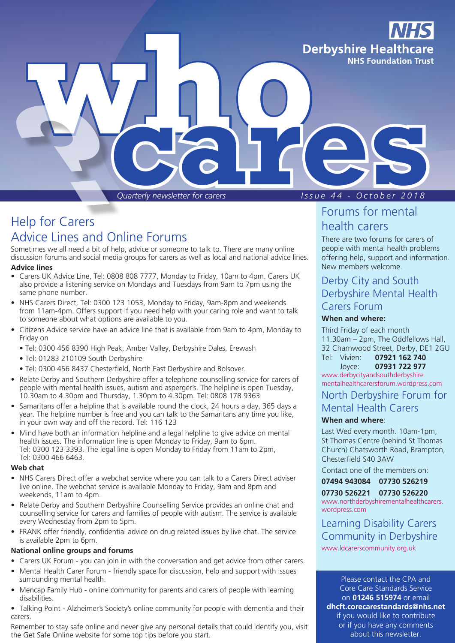

*Quarterly newsletter for carers I s s u e 4 4 - O c t o b e r 2 0 1 8*

# Help for Carers Advice Lines and Online Forums

Sometimes we all need a bit of help, advice or someone to talk to. There are many online discussion forums and social media groups for carers as well as local and national advice lines.

#### **Advice lines**

- Carers UK Advice Line, Tel: 0808 808 7777, Monday to Friday, 10am to 4pm. Carers UK also provide a listening service on Mondays and Tuesdays from 9am to 7pm using the same phone number.
- NHS Carers Direct, Tel: 0300 123 1053, Monday to Friday, 9am-8pm and weekends from 11am-4pm. Offers support if you need help with your caring role and want to talk to someone about what options are available to you.
- Citizens Advice service have an advice line that is available from 9am to 4pm, Monday to Friday on
	- Tel: 0300 456 8390 High Peak, Amber Valley, Derbyshire Dales, Erewash
	- Tel: 01283 210109 South Derbyshire
	- Tel: 0300 456 8437 Chesterfield, North East Derbyshire and Bolsover.
- Relate Derby and Southern Derbyshire offer a telephone counselling service for carers of people with mental health issues, autism and asperger's. The helpline is open Tuesday, 10.30am to 4.30pm and Thursday, 1.30pm to 4.30pm. Tel: 0808 178 9363
- Samaritans offer a helpline that is available round the clock, 24 hours a day, 365 days a year. The helpline number is free and you can talk to the Samaritans any time you like, in your own way and off the record. Tel: 116 123
- Mind have both an information helpline and a legal helpline to give advice on mental health issues. The information line is open Monday to Friday, 9am to 6pm. Tel: 0300 123 3393. The legal line is open Monday to Friday from 11am to 2pm, Tel: 0300 466 6463.

#### **Web chat**

- NHS Carers Direct offer a webchat service where you can talk to a Carers Direct adviser live online. The webchat service is available Monday to Friday, 9am and 8pm and weekends, 11am to 4pm.
- Relate Derby and Southern Derbyshire Counselling Service provides an online chat and counselling service for carers and families of people with autism. The service is available every Wednesday from 2pm to 5pm.
- FRANK offer friendly, confidential advice on drug related issues by live chat. The service is available 2pm to 6pm.

#### **National online groups and forums**

- Carers UK Forum you can join in with the conversation and get advice from other carers.
- Mental Health Carer Forum friendly space for discussion, help and support with issues surrounding mental health.
- Mencap Family Hub online community for parents and carers of people with learning disabilities.
- Talking Point Alzheimer's Society's online community for people with dementia and their carers.

Remember to stay safe online and never give any personal details that could identify you, visit the Get Safe Online website for some top tips before you start.

# Forums for mental

### health carers

There are two forums for carers of people with mental health problems offering help, support and information. New members welcome.

### Derby City and South Derbyshire Mental Health Carers Forum

### **When and where:**

Third Friday of each month 11.30am – 2pm, The Oddfellows Hall, 32 Charnwood Street, Derby, DE1 2GU Tel: Vivien: **07921 162 740**

Joyce: **07931 722 977**

www.derbycityandsouthderbyshire mentalhealthcarersforum.wordpress.com

### North Derbyshire Forum for

### Mental Health Carers

#### **When and where**:

Last Wed every month. 10am-1pm, St Thomas Centre (behind St Thomas Church) Chatsworth Road, Brampton, Chesterfield S40 3AW

Contact one of the members on:

#### **07494 943084 07730 526219 07730 526221 07730 526220**

www.northderbyshirementalhealthcarers. wordpress.com

Learning Disability Carers Community in Derbyshire www.ldcarerscommunity.org.uk

Please contact the CPA and Core Care Standards Service on **01246 515974** or email **dhcft.corecarestandards@nhs.net** if you would like to contribute or if you have any comments about this newsletter.